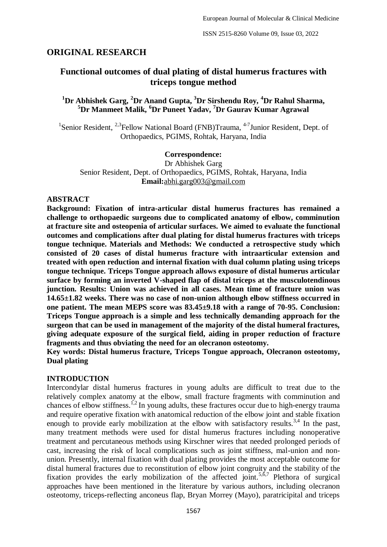# **ORIGINAL RESEARCH**

# **Functional outcomes of dual plating of distal humerus fractures with triceps tongue method**

# **<sup>1</sup>Dr Abhishek Garg, <sup>2</sup>Dr Anand Gupta, <sup>3</sup>Dr Sirshendu Roy, <sup>4</sup>Dr Rahul Sharma, <sup>5</sup>Dr Manmeet Malik, <sup>6</sup>Dr Puneet Yadav, <sup>7</sup>Dr Gaurav Kumar Agrawal**

<sup>1</sup>Senior Resident, <sup>2,3</sup>Fellow National Board (FNB)Trauma, <sup>4-7</sup>Junior Resident, Dept. of Orthopaedics, PGIMS, Rohtak, Haryana, India

#### **Correspondence:**

Dr Abhishek Garg Senior Resident, Dept. of Orthopaedics, PGIMS, Rohtak, Haryana, India **Email:**[abhi.garg003@gmail.com](mailto:abhi.garg003@gmail.com)

#### **ABSTRACT**

**Background: Fixation of intra-articular distal humerus fractures has remained a challenge to orthopaedic surgeons due to complicated anatomy of elbow, comminution at fracture site and osteopenia of articular surfaces. We aimed to evaluate the functional outcomes and complications after dual plating for distal humerus fractures with triceps tongue technique. Materials and Methods: We conducted a retrospective study which consisted of 20 cases of distal humerus fracture with intraarticular extension and treated with open reduction and internal fixation with dual column plating using triceps tongue technique. Triceps Tongue approach allows exposure of distal humerus articular surface by forming an inverted V-shaped flap of distal triceps at the musculotendinous junction. Results: Union was achieved in all cases. Mean time of fracture union was 14.65±1.82 weeks. There was no case of non-union although elbow stiffness occurred in one patient. The mean MEPS score was 83.45±9.18 with a range of 70-95. Conclusion: Triceps Tongue approach is a simple and less technically demanding approach for the surgeon that can be used in management of the majority of the distal humeral fractures, giving adequate exposure of the surgical field, aiding in proper reduction of fracture fragments and thus obviating the need for an olecranon osteotomy.** 

**Key words: Distal humerus fracture, Triceps Tongue approach, Olecranon osteotomy, Dual plating**

#### **INTRODUCTION**

Intercondylar distal humerus fractures in young adults are difficult to treat due to the relatively complex anatomy at the elbow, small fracture fragments with comminution and chances of elbow stiffness.<sup>1,2</sup> In young adults, these fractures occur due to high-energy trauma and require operative fixation with anatomical reduction of the elbow joint and stable fixation enough to provide early mobilization at the elbow with satisfactory results.<sup>3,4</sup> In the past, many treatment methods were used for distal humerus fractures including nonoperative treatment and percutaneous methods using Kirschner wires that needed prolonged periods of cast, increasing the risk of local complications such as joint stiffness, mal-union and nonunion. Presently, internal fixation with dual plating provides the most acceptable outcome for distal humeral fractures due to reconstitution of elbow joint congruity and the stability of the fixation provides the early mobilization of the affected joint.<sup>5, $\delta$ ,7 Plethora of surgical</sup> approaches have been mentioned in the literature by various authors, including olecranon osteotomy, triceps-reflecting anconeus flap, Bryan Morrey (Mayo), paratricipital and triceps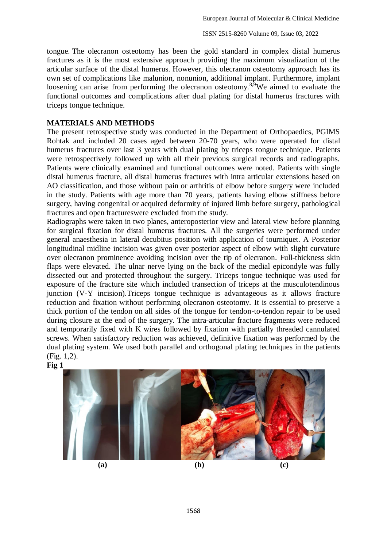tongue. The olecranon osteotomy has been the gold standard in complex distal humerus fractures as it is the most extensive approach providing the maximum visualization of the articular surface of the distal humerus. However, this olecranon osteotomy approach has its own set of complications like malunion, nonunion, additional implant. Furthermore, implant loosening can arise from performing the olecranon osteotomy.<sup>8,9</sup>We aimed to evaluate the functional outcomes and complications after dual plating for distal humerus fractures with triceps tongue technique.

## **MATERIALS AND METHODS**

The present retrospective study was conducted in the Department of Orthopaedics, PGIMS Rohtak and included 20 cases aged between 20-70 years, who were operated for distal humerus fractures over last 3 years with dual plating by triceps tongue technique. Patients were retrospectively followed up with all their previous surgical records and radiographs. Patients were clinically examined and functional outcomes were noted. Patients with single distal humerus fracture, all distal humerus fractures with intra articular extensions based on AO classification, and those without pain or arthritis of elbow before surgery were included in the study. Patients with age more than 70 years, patients having elbow stiffness before surgery, having congenital or acquired deformity of injured limb before surgery, pathological fractures and open fractureswere excluded from the study.

Radiographs were taken in two planes, anteroposterior view and lateral view before planning for surgical fixation for distal humerus fractures. All the surgeries were performed under general anaesthesia in lateral decubitus position with application of tourniquet. A Posterior longitudinal midline incision was given over posterior aspect of elbow with slight curvature over olecranon prominence avoiding incision over the tip of olecranon. Full-thickness skin flaps were elevated. The ulnar nerve lying on the back of the medial epicondyle was fully dissected out and protected throughout the surgery. Triceps tongue technique was used for exposure of the fracture site which included transection of triceps at the musculotendinous junction (V-Y incision).Triceps tongue technique is advantageous as it allows fracture reduction and fixation without performing olecranon osteotomy. It is essential to preserve a thick portion of the tendon on all sides of the tongue for tendon-to-tendon repair to be used during closure at the end of the surgery. The intra-articular fracture fragments were reduced and temporarily fixed with K wires followed by fixation with partially threaded cannulated screws. When satisfactory reduction was achieved, definitive fixation was performed by the dual plating system. We used both parallel and orthogonal plating techniques in the patients (Fig. 1,2).



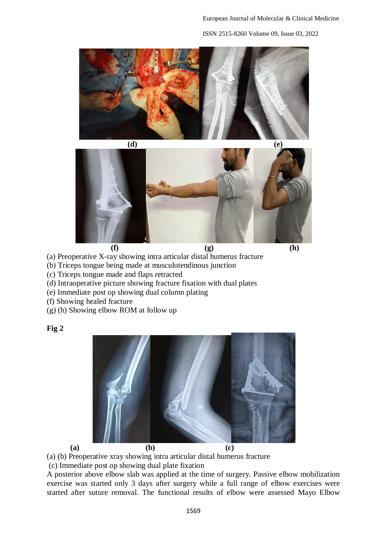ISSN 2515-8260 Volume 09, Issue 03, 2022







- (a) Preoperative X-ray showing intra articular distal humerus fracture
- (b) Triceps tongue being made at musculotendinous junction
- (c) Triceps tongue made and flaps retracted
- (d) Intraoperative picture showing fracture fixation with dual plates
- (e) Immediate post op showing dual column plating
- (f) Showing healed fracture
- (g) (h) Showing elbow ROM at follow up

### **Fig 2**



(a) (b) Preoperative xray showing intra articular distal humerus fracture

(c) Immediate post op showing dual plate fixation

A posterior above elbow slab was applied at the time of surgery. Passive elbow mobilization exercise was started only 3 days after surgery while a full range of elbow exercises were started after suture removal. The functional results of elbow were assessed Mayo Elbow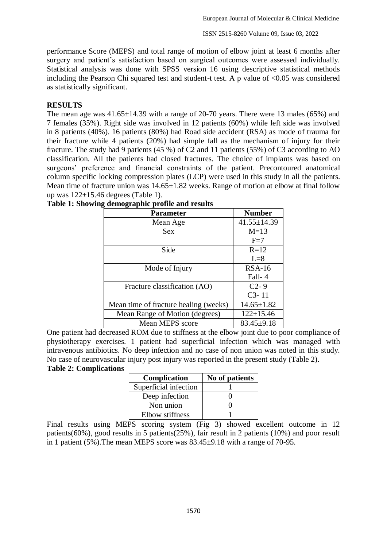performance Score (MEPS) and total range of motion of elbow joint at least 6 months after surgery and patient's satisfaction based on surgical outcomes were assessed individually. Statistical analysis was done with SPSS version 16 using descriptive statistical methods including the Pearson Chi squared test and student-t test. A p value of  $\langle 0.05 \rangle$  was considered as statistically significant.

### **RESULTS**

The mean age was  $41.65 \pm 14.39$  with a range of 20-70 years. There were 13 males (65%) and 7 females (35%). Right side was involved in 12 patients (60%) while left side was involved in 8 patients (40%). 16 patients (80%) had Road side accident (RSA) as mode of trauma for their fracture while 4 patients (20%) had simple fall as the mechanism of injury for their fracture. The study had 9 patients (45 %) of C2 and 11 patients (55%) of C3 according to AO classification. All the patients had closed fractures. The choice of implants was based on surgeons' preference and financial constraints of the patient. Precontoured anatomical column specific locking compression plates (LCP) were used in this study in all the patients. Mean time of fracture union was  $14.65 \pm 1.82$  weeks. Range of motion at elbow at final follow up was  $122\pm 15.46$  degrees (Table 1).

| <b>Parameter</b>                      | <b>Number</b>     |
|---------------------------------------|-------------------|
| Mean Age                              | $41.55 \pm 14.39$ |
| <b>Sex</b>                            | $M=13$            |
|                                       | $F=7$             |
| Side                                  | $R=12$            |
|                                       | $L=8$             |
| Mode of Injury                        | $RSA-16$          |
|                                       | Fall-4            |
| Fracture classification (AO)          | $C2 - 9$          |
|                                       | $C3 - 11$         |
| Mean time of fracture healing (weeks) | $14.65 \pm 1.82$  |
| Mean Range of Motion (degrees)        | $122 \pm 15.46$   |
| <b>Mean MEPS</b> score                | $83.45 \pm 9.18$  |

|  | Table 1: Showing demographic profile and results |  |
|--|--------------------------------------------------|--|
|  |                                                  |  |
|  |                                                  |  |
|  |                                                  |  |

One patient had decreased ROM due to stiffness at the elbow joint due to poor compliance of physiotherapy exercises. 1 patient had superficial infection which was managed with intravenous antibiotics. No deep infection and no case of non union was noted in this study. No case of neurovascular injury post injury was reported in the present study (Table 2).

### **Table 2: Complications**

| Complication          | No of patients |
|-----------------------|----------------|
| Superficial infection |                |
| Deep infection        |                |
| Non union             |                |
| Elbow stiffness       |                |

Final results using MEPS scoring system (Fig 3) showed excellent outcome in 12 patients(60%), good results in 5 patients(25%), fair result in 2 patients (10%) and poor result in 1 patient (5%).The mean MEPS score was 83.45±9.18 with a range of 70-95.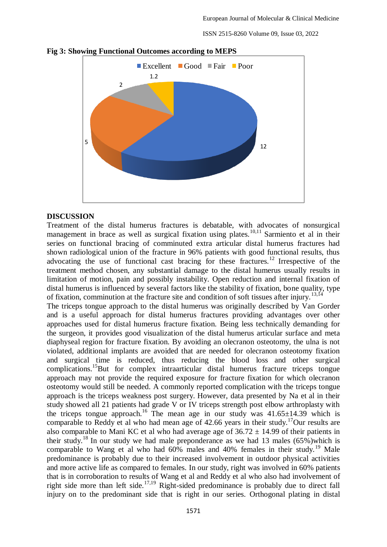ISSN 2515-8260 Volume 09, Issue 03, 2022



**Fig 3: Showing Functional Outcomes according to MEPS**

#### **DISCUSSION**

Treatment of the distal humerus fractures is debatable, with advocates of nonsurgical management in brace as well as surgical fixation using plates.<sup>10,11</sup> Sarmiento et al in their series on functional bracing of comminuted extra articular distal humerus fractures had shown radiological union of the fracture in 96% patients with good functional results, thus advocating the use of functional cast bracing for these fractures.<sup>12</sup> Irrespective of the treatment method chosen, any substantial damage to the distal humerus usually results in limitation of motion, pain and possibly instability. Open reduction and internal fixation of distal humerus is influenced by several factors like the stability of fixation, bone quality, type of fixation, comminution at the fracture site and condition of soft tissues after injury.<sup>13,14</sup>

The triceps tongue approach to the distal humerus was originally described by Van Gorder and is a useful approach for distal humerus fractures providing advantages over other approaches used for distal humerus fracture fixation. Being less technically demanding for the surgeon, it provides good visualization of the distal humerus articular surface and meta diaphyseal region for fracture fixation. By avoiding an olecranon osteotomy, the ulna is not violated, additional implants are avoided that are needed for olecranon osteotomy fixation and surgical time is reduced, thus reducing the blood loss and other surgical complications.<sup>15</sup>But for complex intraarticular distal humerus fracture triceps tongue approach may not provide the required exposure for fracture fixation for which olecranon osteotomy would still be needed. A commonly reported complication with the triceps tongue approach is the triceps weakness post surgery. However, data presented by Na et al in their study showed all 21 patients had grade V or IV triceps strength post elbow arthroplasty with the triceps tongue approach.<sup>16</sup> The mean age in our study was 41.65±14.39 which is comparable to Reddy et al who had mean age of 42.66 years in their study.<sup>17</sup>Our results are also comparable to Mani KC et al who had average age of  $36.72 \pm 14.99$  of their patients in their study.<sup>18</sup> In our study we had male preponderance as we had 13 males  $(65\%)$  which is comparable to Wang et al who had  $60\%$  males and  $40\%$  females in their study.<sup>19</sup> Male predominance is probably due to their increased involvement in outdoor physical activities and more active life as compared to females. In our study, right was involved in 60% patients that is in corroboration to results of Wang et al and Reddy et al who also had involvement of right side more than left side.<sup>17,19</sup> Right-sided predominance is probably due to direct fall injury on to the predominant side that is right in our series. Orthogonal plating in distal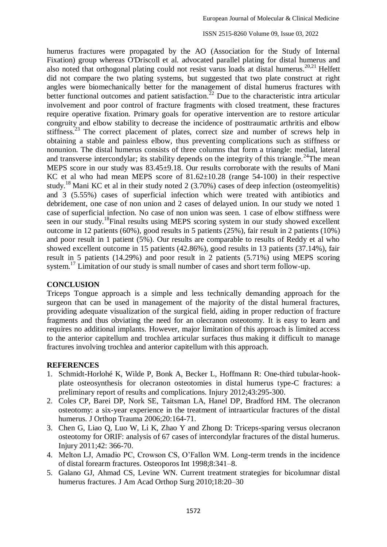ISSN 2515-8260 Volume 09, Issue 03, 2022

humerus fractures were propagated by the AO (Association for the Study of Internal Fixation) group whereas O'Driscoll et al. advocated parallel plating for distal humerus and also noted that orthogonal plating could not resist varus loads at distal humerus.<sup>20,21</sup> Helfett did not compare the two plating systems, but suggested that two plate construct at right angles were biomechanically better for the management of distal humerus fractures with better functional outcomes and patient satisfaction.<sup>22</sup> Due to the characteristic intra articular involvement and poor control of fracture fragments with closed treatment, these fractures require operative fixation. Primary goals for operative intervention are to restore articular congruity and elbow stability to decrease the incidence of posttraumatic arthritis and elbow stiffness.<sup>23</sup> The correct placement of plates, correct size and number of screws help in obtaining a stable and painless elbow, thus preventing complications such as stiffness or nonunion. The distal humerus consists of three columns that form a triangle: medial, lateral and transverse intercondylar; its stability depends on the integrity of this triangle.<sup>24</sup>The mean MEPS score in our study was 83.45±9.18. Our results corroborate with the results of Mani KC et al who had mean MEPS score of  $81.62 \pm 10.28$  (range 54-100) in their respective study.<sup>18</sup> Mani KC et al in their study noted 2 (3.70%) cases of deep infection (osteomyelitis) and 3 (5.55%) cases of superficial infection which were treated with antibiotics and debridement, one case of non union and 2 cases of delayed union. In our study we noted 1 case of superficial infection. No case of non union was seen. 1 case of elbow stiffness were seen in our study.<sup>18</sup>Final results using MEPS scoring system in our study showed excellent outcome in 12 patients (60%), good results in 5 patients (25%), fair result in 2 patients (10%) and poor result in 1 patient (5%). Our results are comparable to results of Reddy et al who showed excellent outcome in 15 patients (42.86%), good results in 13 patients (37.14%), fair result in 5 patients (14.29%) and poor result in 2 patients (5.71%) using MEPS scoring system.<sup>17</sup> Limitation of our study is small number of cases and short term follow-up.

### **CONCLUSION**

Triceps Tongue approach is a simple and less technically demanding approach for the surgeon that can be used in management of the majority of the distal humeral fractures, providing adequate visualization of the surgical field, aiding in proper reduction of fracture fragments and thus obviating the need for an olecranon osteotomy. It is easy to learn and requires no additional implants. However, major limitation of this approach is limited access to the anterior capitellum and trochlea articular surfaces thus making it difficult to manage fractures involving trochlea and anterior capitellum with this approach.

### **REFERENCES**

- 1. Schmidt-Horlohé K, Wilde P, Bonk A, Becker L, Hoffmann R: One-third tubular-hookplate osteosynthesis for olecranon osteotomies in distal humerus type-C fractures: a preliminary report of results and complications. Injury 2012;43:295-300.
- 2. Coles CP, Barei DP, Nork SE, Taitsman LA, Hanel DP, Bradford HM. The olecranon osteotomy: a six-year experience in the treatment of intraarticular fractures of the distal humerus. J Orthop Trauma 2006;20:164-71.
- 3. Chen G, Liao Q, Luo W, Li K, Zhao Y and Zhong D: Triceps-sparing versus olecranon osteotomy for ORIF: analysis of 67 cases of intercondylar fractures of the distal humerus. Injury 2011;42: 366-70.
- 4. Melton LJ, Amadio PC, Crowson CS, O'Fallon WM. Long-term trends in the incidence of distal forearm fractures. Osteoporos Int 1998;8:341–8.
- 5. Galano GJ, Ahmad CS, Levine WN. Current treatment strategies for bicolumnar distal humerus fractures. J Am Acad Orthop Surg 2010;18:20–30